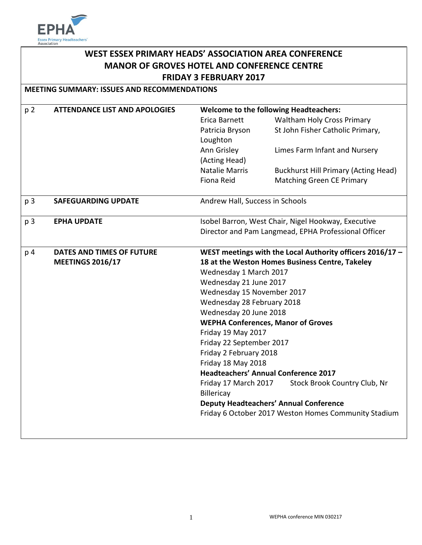

# **WEST ESSEX PRIMARY HEADS' ASSOCIATION AREA CONFERENCE MANOR OF GROVES HOTEL AND CONFERENCE CENTRE FRIDAY 3 FEBRUARY 2017**

**MEETING SUMMARY: ISSUES AND RECOMMENDATIONS**

| p <sub>2</sub> | <b>ATTENDANCE LIST AND APOLOGIES</b> | <b>Welcome to the following Headteachers:</b>             |                                             |
|----------------|--------------------------------------|-----------------------------------------------------------|---------------------------------------------|
|                |                                      | Erica Barnett                                             | <b>Waltham Holy Cross Primary</b>           |
|                |                                      | Patricia Bryson                                           | St John Fisher Catholic Primary,            |
|                |                                      | Loughton                                                  |                                             |
|                |                                      | Ann Grisley                                               | Limes Farm Infant and Nursery               |
|                |                                      | (Acting Head)                                             |                                             |
|                |                                      | <b>Natalie Marris</b>                                     | <b>Buckhurst Hill Primary (Acting Head)</b> |
|                |                                      | Fiona Reid                                                | <b>Matching Green CE Primary</b>            |
| p <sub>3</sub> | <b>SAFEGUARDING UPDATE</b>           | Andrew Hall, Success in Schools                           |                                             |
| p 3            | <b>EPHA UPDATE</b>                   | Isobel Barron, West Chair, Nigel Hookway, Executive       |                                             |
|                |                                      | Director and Pam Langmead, EPHA Professional Officer      |                                             |
|                |                                      |                                                           |                                             |
| p 4            | <b>DATES AND TIMES OF FUTURE</b>     | WEST meetings with the Local Authority officers 2016/17 - |                                             |
|                | <b>MEETINGS 2016/17</b>              | 18 at the Weston Homes Business Centre, Takeley           |                                             |
|                |                                      | Wednesday 1 March 2017                                    |                                             |
|                |                                      | Wednesday 21 June 2017                                    |                                             |
|                |                                      | Wednesday 15 November 2017                                |                                             |
|                |                                      | Wednesday 28 February 2018<br>Wednesday 20 June 2018      |                                             |
|                |                                      | <b>WEPHA Conferences, Manor of Groves</b>                 |                                             |
|                |                                      | Friday 19 May 2017                                        |                                             |
|                |                                      | Friday 22 September 2017                                  |                                             |
|                |                                      | Friday 2 February 2018                                    |                                             |
|                |                                      | Friday 18 May 2018                                        |                                             |
|                |                                      | <b>Headteachers' Annual Conference 2017</b>               |                                             |
|                |                                      | Friday 17 March 2017                                      | Stock Brook Country Club, Nr                |
|                |                                      | Billericay                                                |                                             |
|                |                                      | <b>Deputy Headteachers' Annual Conference</b>             |                                             |
|                |                                      | Friday 6 October 2017 Weston Homes Community Stadium      |                                             |
|                |                                      |                                                           |                                             |
|                |                                      |                                                           |                                             |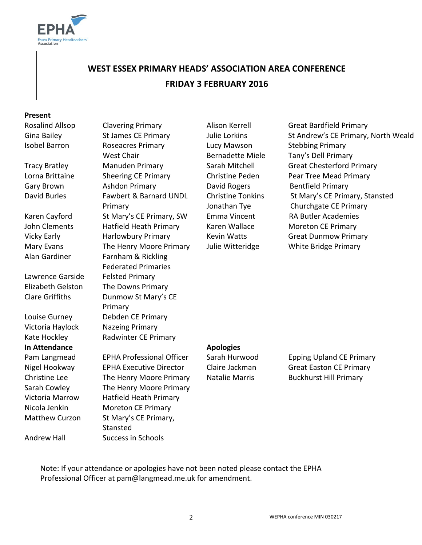

# **WEST ESSEX PRIMARY HEADS' ASSOCIATION AREA CONFERENCE**

# **FRIDAY 3 FEBRUARY 2016**

#### **Present**

Lawrence Garside Felsted Primary

Kate Hockley Radwinter CE Primary **In Attendance Apologies** Sarah Cowley The Henry Moore Primary Victoria Marrow Hatfield Heath Primary Nicola Jenkin Moreton CE Primary

Matthew Curzon St Mary's CE Primary,

Andrew Hall Success in Schools

Stansted

Isobel Barron Roseacres Primary West Chair Tracy Bratley **Manuden Primary Sarah Mitchell** Great Chesterford Primary Lorna Brittaine Sheering CE Primary Christine Peden Pear Tree Mead Primary Gary Brown **Ashdon Primary Cary Brown** Bentfield Primary David Burles Fawbert & Barnard UNDL Primary Karen Cayford St Mary's CE Primary, SW Emma Vincent RA Butler Academies John Clements Hatfield Heath Primary Karen Wallace Moreton CE Primary Vicky Early **Harlowbury Primary** Kevin Watts Great Dunmow Primary Mary Evans The Henry Moore Primary Julie Witteridge White Bridge Primary Alan Gardiner Farnham & Rickling Federated Primaries Elizabeth Gelston The Downs Primary Clare Griffiths Dunmow St Mary's CE Primary Louise Gurney Debden CE Primary Victoria Haylock Nazeing Primary

Lucy Mawson Bernadette Miele

Rosalind Allsop Clavering Primary **Alison Kerrell** Great Bardfield Primary Gina Bailey St James CE Primary Julie Lorkins St Andrew's CE Primary, North Weald Stebbing Primary Tany's Dell Primary Christine Tonkins St Mary's CE Primary, Stansted Jonathan Tye Churchgate CE Primary

Pam Langmead EPHA Professional Officer Sarah Hurwood Epping Upland CE Primary Nigel Hookway EPHA Executive Director Claire Jackman Great Easton CE Primary Christine Lee The Henry Moore Primary Natalie Marris Buckhurst Hill Primary

Note: If your attendance or apologies have not been noted please contact the EPHA Professional Officer at pam@langmead.me.uk for amendment.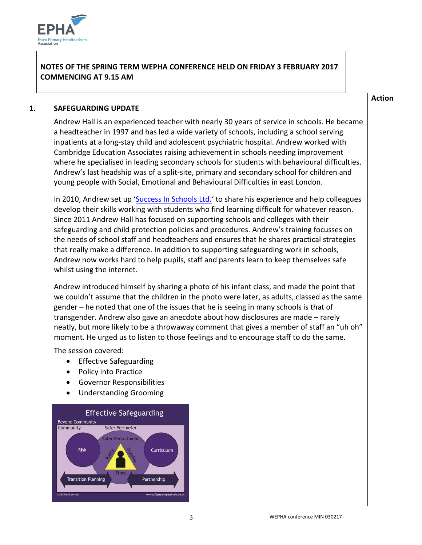

### **NOTES OF THE SPRING TERM WEPHA CONFERENCE HELD ON FRIDAY 3 FEBRUARY 2017 COMMENCING AT 9.15 AM**

#### **Action**

#### **1. SAFEGUARDING UPDATE**

Andrew Hall is an experienced teacher with nearly 30 years of service in schools. He became a headteacher in 1997 and has led a wide variety of schools, including a school serving inpatients at a long-stay child and adolescent psychiatric hospital. Andrew worked with Cambridge Education Associates raising achievement in schools needing improvement where he specialised in leading secondary schools for students with behavioural difficulties. Andrew's last headship was of a split-site, primary and secondary school for children and young people with Social, Emotional and Behavioural Difficulties in east London.

In 2010, Andrew set up '[Success In Schools Ltd.](http://www.successinschools.co.uk/home/)' to share his experience and help colleagues develop their skills working with students who find learning difficult for whatever reason. Since 2011 Andrew Hall has focused on supporting schools and colleges with their safeguarding and child protection policies and procedures. Andrew's training focusses on the needs of school staff and headteachers and ensures that he shares practical strategies that really make a difference. In addition to supporting safeguarding work in schools, Andrew now works hard to help pupils, staff and parents learn to keep themselves safe whilst using the internet.

Andrew introduced himself by sharing a photo of his infant class, and made the point that we couldn't assume that the children in the photo were later, as adults, classed as the same gender – he noted that one of the issues that he is seeing in many schools is that of transgender. Andrew also gave an anecdote about how disclosures are made – rarely neatly, but more likely to be a throwaway comment that gives a member of staff an "uh oh" moment. He urged us to listen to those feelings and to encourage staff to do the same.

The session covered:

- Effective Safeguarding
- Policy into Practice
- Governor Responsibilities
- Understanding Grooming

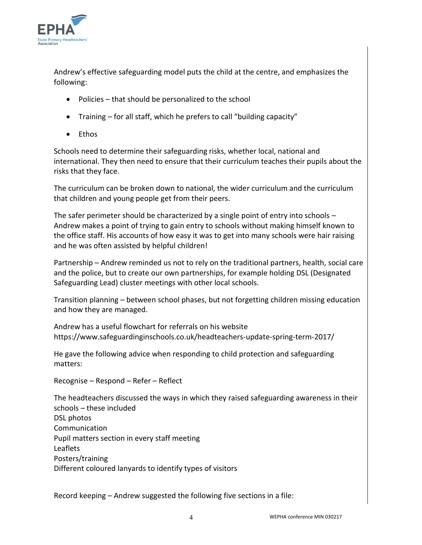

Andrew's effective safeguarding model puts the child at the centre, and emphasizes the following:

- Policies that should be personalized to the school
- Training for all staff, which he prefers to call "building capacity"
- Fthos

Schools need to determine their safeguarding risks, whether local, national and international. They then need to ensure that their curriculum teaches their pupils about the risks that they face.

The curriculum can be broken down to national, the wider curriculum and the curriculum that children and young people get from their peers.

The safer perimeter should be characterized by a single point of entry into schools – Andrew makes a point of trying to gain entry to schools without making himself known to the office staff. His accounts of how easy it was to get into many schools were hair raising and he was often assisted by helpful children!

Partnership – Andrew reminded us not to rely on the traditional partners, health, social care and the police, but to create our own partnerships, for example holding DSL (Designated Safeguarding Lead) cluster meetings with other local schools.

Transition planning – between school phases, but not forgetting children missing education and how they are managed.

Andrew has a useful flowchart for referrals on his website https://www.safeguardinginschools.co.uk/headteachers-update-spring-term-2017/

He gave the following advice when responding to child protection and safeguarding matters:

Recognise – Respond – Refer – Reflect

The headteachers discussed the ways in which they raised safeguarding awareness in their schools – these included DSL photos Communication Pupil matters section in every staff meeting Leaflets Posters/training Different coloured lanyards to identify types of visitors

Record keeping – Andrew suggested the following five sections in a file: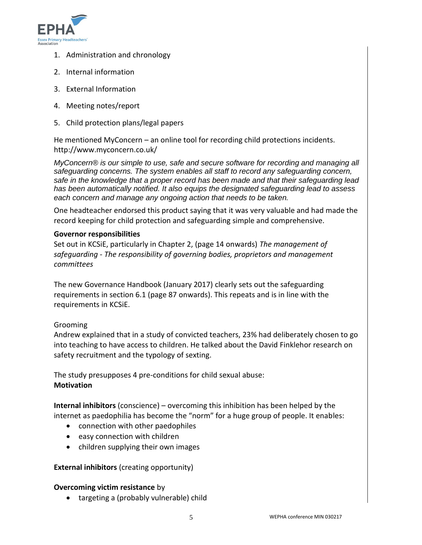

- 1. Administration and chronology
- 2. Internal information
- 3. External Information
- 4. Meeting notes/report
- 5. Child protection plans/legal papers

He mentioned MyConcern – an online tool for recording child protections incidents. http://www.myconcern.co.uk/

*MyConcern® is our simple to use, safe and secure software for recording and managing all safeguarding concerns. The system enables all staff to record any safeguarding concern, safe in the knowledge that a proper record has been made and that their safeguarding lead has been automatically notified. It also equips the designated safeguarding lead to assess each concern and manage any ongoing action that needs to be taken.* 

One headteacher endorsed this product saying that it was very valuable and had made the record keeping for child protection and safeguarding simple and comprehensive.

#### **Governor responsibilities**

Set out in KCSiE, particularly in Chapter 2, (page 14 onwards) *The management of safeguarding - The responsibility of governing bodies, proprietors and management committees*

The new Governance Handbook (January 2017) clearly sets out the safeguarding requirements in section 6.1 (page 87 onwards). This repeats and is in line with the requirements in KCSiE.

#### Grooming

Andrew explained that in a study of convicted teachers, 23% had deliberately chosen to go into teaching to have access to children. He talked about the David Finklehor research on safety recruitment and the typology of sexting.

The study presupposes 4 pre-conditions for child sexual abuse: **Motivation**

**Internal inhibitors** (conscience) – overcoming this inhibition has been helped by the internet as paedophilia has become the "norm" for a huge group of people. It enables:

- connection with other paedophiles
- easy connection with children
- children supplying their own images

**External inhibitors** (creating opportunity)

#### **Overcoming victim resistance** by

• targeting a (probably vulnerable) child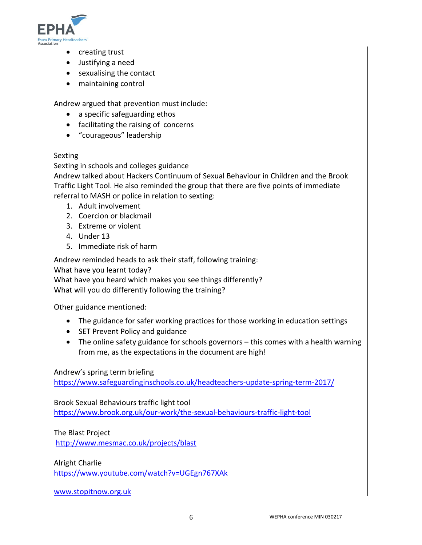

- creating trust
- Justifying a need
- sexualising the contact
- maintaining control

Andrew argued that prevention must include:

- a specific safeguarding ethos
- facilitating the raising of concerns
- "courageous" leadership

#### Sexting

Sexting in schools and colleges guidance

Andrew talked about Hackers Continuum of Sexual Behaviour in Children and the Brook Traffic Light Tool. He also reminded the group that there are five points of immediate referral to MASH or police in relation to sexting:

- 1. Adult involvement
- 2. Coercion or blackmail
- 3. Extreme or violent
- 4. Under 13
- 5. Immediate risk of harm

Andrew reminded heads to ask their staff, following training:

What have you learnt today?

What have you heard which makes you see things differently? What will you do differently following the training?

Other guidance mentioned:

- The guidance for safer working practices for those working in education settings
- SET Prevent Policy and guidance
- The online safety guidance for schools governors this comes with a health warning from me, as the expectations in the document are high!

#### Andrew's spring term briefing

<https://www.safeguardinginschools.co.uk/headteachers-update-spring-term-2017/>

Brook Sexual Behaviours traffic light tool <https://www.brook.org.uk/our-work/the-sexual-behaviours-traffic-light-tool>

The Blast Project <http://www.mesmac.co.uk/projects/blast>

Alright Charlie <https://www.youtube.com/watch?v=UGEgn767XAk>

[www.stopitnow.org.uk](http://www.stopitnow.org.uk/)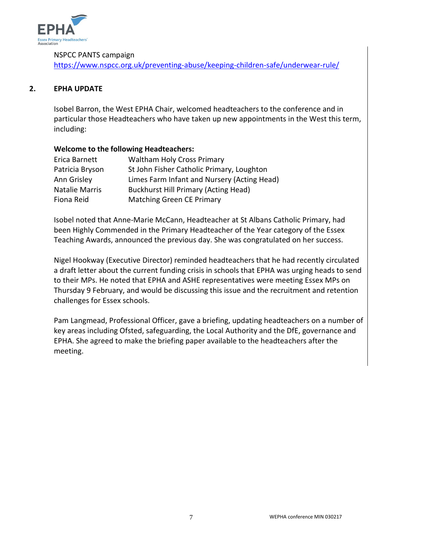

#### NSPCC PANTS campaign

<https://www.nspcc.org.uk/preventing-abuse/keeping-children-safe/underwear-rule/>

#### **2. EPHA UPDATE**

Isobel Barron, the West EPHA Chair, welcomed headteachers to the conference and in particular those Headteachers who have taken up new appointments in the West this term, including:

#### **Welcome to the following Headteachers:**

| Erica Barnett         | <b>Waltham Holy Cross Primary</b>           |
|-----------------------|---------------------------------------------|
| Patricia Bryson       | St John Fisher Catholic Primary, Loughton   |
| Ann Grisley           | Limes Farm Infant and Nursery (Acting Head) |
| <b>Natalie Marris</b> | <b>Buckhurst Hill Primary (Acting Head)</b> |
| Fiona Reid            | <b>Matching Green CE Primary</b>            |

Isobel noted that Anne-Marie McCann, Headteacher at St Albans Catholic Primary, had been Highly Commended in the Primary Headteacher of the Year category of the Essex Teaching Awards, announced the previous day. She was congratulated on her success.

Nigel Hookway (Executive Director) reminded headteachers that he had recently circulated a draft letter about the current funding crisis in schools that EPHA was urging heads to send to their MPs. He noted that EPHA and ASHE representatives were meeting Essex MPs on Thursday 9 February, and would be discussing this issue and the recruitment and retention challenges for Essex schools.

Pam Langmead, Professional Officer, gave a briefing, updating headteachers on a number of key areas including Ofsted, safeguarding, the Local Authority and the DfE, governance and EPHA. She agreed to make the briefing paper available to the headteachers after the meeting.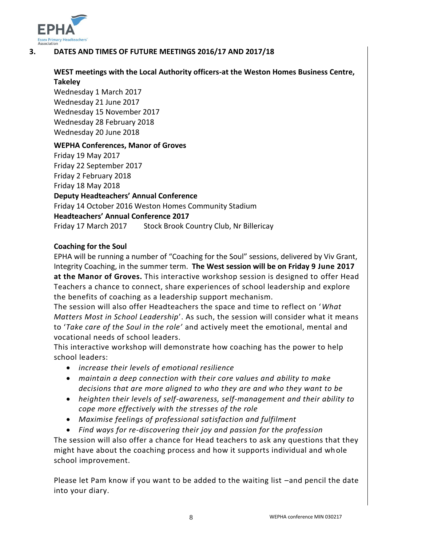

### **3. DATES AND TIMES OF FUTURE MEETINGS 2016/17 AND 2017/18**

#### **WEST meetings with the Local Authority officers-at the Weston Homes Business Centre, Takeley**

Wednesday 1 March 2017 Wednesday 21 June 2017 Wednesday 15 November 2017 Wednesday 28 February 2018 Wednesday 20 June 2018

#### **WEPHA Conferences, Manor of Groves**

Friday 19 May 2017 Friday 22 September 2017 Friday 2 February 2018 Friday 18 May 2018 **Deputy Headteachers' Annual Conference** Friday 14 October 2016 Weston Homes Community Stadium **Headteachers' Annual Conference 2017** Friday 17 March 2017 Stock Brook Country Club, Nr Billericay

#### **Coaching for the Soul**

EPHA will be running a number of "Coaching for the Soul" sessions, delivered by Viv Grant, Integrity Coaching, in the summer term. **The West session will be on Friday 9 June 2017 at the Manor of Groves.** This interactive workshop session is designed to offer Head Teachers a chance to connect, share experiences of school leadership and explore the benefits of coaching as a leadership support mechanism.

The session will also offer Headteachers the space and time to reflect on '*What Matters Most in School Leadership*'. As such, the session will consider what it means to '*Take care of the Soul in the role'* and actively meet the emotional, mental and vocational needs of school leaders.

This interactive workshop will demonstrate how coaching has the power to help school leaders:

- *increase their levels of emotional resilience*
- *maintain a deep connection with their core values and ability to make decisions that are more aligned to who they are and who they want to be*
- *heighten their levels of self-awareness, self-management and their ability to cope more effectively with the stresses of the role*
- *Maximise feelings of professional satisfaction and fulfilment*
- *Find ways for re-discovering their joy and passion for the profession*

The session will also offer a chance for Head teachers to ask any questions that they might have about the coaching process and how it supports individual and whole school improvement.

Please let Pam know if you want to be added to the waiting list –and pencil the date into your diary.